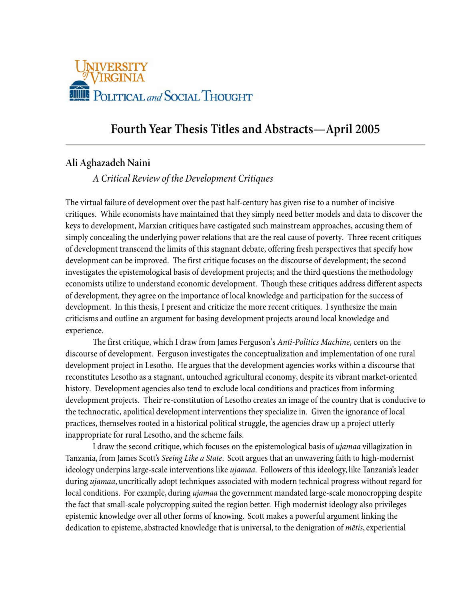

# **Fourth Year Thesis Titles and Abstracts—April 2005**

## **Ali Aghazadeh Naini**

## *A Critical Review of the Development Critiques*

The virtual failure of development over the past half-century has given rise to a number of incisive critiques. While economists have maintained that they simply need better models and data to discover the keys to development, Marxian critiques have castigated such mainstream approaches, accusing them of simply concealing the underlying power relations that are the real cause of poverty. Three recent critiques of development transcend the limits of this stagnant debate, offering fresh perspectives that specify how development can be improved. The first critique focuses on the discourse of development; the second investigates the epistemological basis of development projects; and the third questions the methodology economists utilize to understand economic development. Though these critiques address different aspects of development, they agree on the importance of local knowledge and participation for the success of development. In this thesis, I present and criticize the more recent critiques. I synthesize the main criticisms and outline an argument for basing development projects around local knowledge and experience.

The first critique, which I draw from James Ferguson's *Anti-Politics Machine*, centers on the discourse of development. Ferguson investigates the conceptualization and implementation of one rural development project in Lesotho. He argues that the development agencies works within a discourse that reconstitutes Lesotho as a stagnant, untouched agricultural economy, despite its vibrant market-oriented history. Development agencies also tend to exclude local conditions and practices from informing development projects. Their re-constitution of Lesotho creates an image of the country that is conducive to the technocratic, apolitical development interventions they specialize in. Given the ignorance of local practices, themselves rooted in a historical political struggle, the agencies draw up a project utterly inappropriate for rural Lesotho, and the scheme fails.

I draw the second critique, which focuses on the epistemological basis of *ujamaa* villagization in Tanzania, from James Scott's *Seeing Like a State*. Scott argues that an unwavering faith to high-modernist ideology underpins large-scale interventions like *ujamaa*. Followers of this ideology, like Tanzania's leader during *ujamaa*, uncritically adopt techniques associated with modern technical progress without regard for local conditions. For example, during *ujamaa* the government mandated large-scale monocropping despite the fact that small-scale polycropping suited the region better. High modernist ideology also privileges epistemic knowledge over all other forms of knowing. Scott makes a powerful argument linking the dedication to episteme, abstracted knowledge that is universal, to the denigration of *mētis*, experiential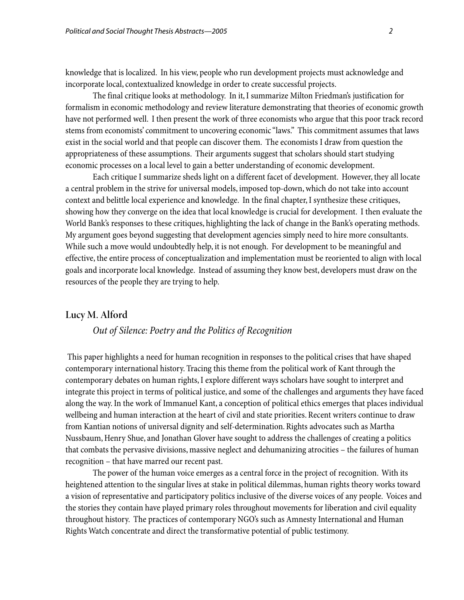knowledge that is localized. In his view, people who run development projects must acknowledge and incorporate local, contextualized knowledge in order to create successful projects.

The final critique looks at methodology. In it, I summarize Milton Friedman's justification for formalism in economic methodology and review literature demonstrating that theories of economic growth have not performed well. I then present the work of three economists who argue that this poor track record stems from economists' commitment to uncovering economic "laws." This commitment assumes that laws exist in the social world and that people can discover them. The economists I draw from question the appropriateness of these assumptions. Their arguments suggest that scholars should start studying economic processes on a local level to gain a better understanding of economic development.

Each critique I summarize sheds light on a different facet of development. However, they all locate a central problem in the strive for universal models, imposed top-down, which do not take into account context and belittle local experience and knowledge. In the final chapter, I synthesize these critiques, showing how they converge on the idea that local knowledge is crucial for development. I then evaluate the World Bank's responses to these critiques, highlighting the lack of change in the Bank's operating methods. My argument goes beyond suggesting that development agencies simply need to hire more consultants. While such a move would undoubtedly help, it is not enough. For development to be meaningful and effective, the entire process of conceptualization and implementation must be reoriented to align with local goals and incorporate local knowledge. Instead of assuming they know best, developers must draw on the resources of the people they are trying to help.

### **Lucy M. Alford**

## *Out of Silence: Poetry and the Politics of Recognition*

 This paper highlights a need for human recognition in responses to the political crises that have shaped contemporary international history. Tracing this theme from the political work of Kant through the contemporary debates on human rights, I explore different ways scholars have sought to interpret and integrate this project in terms of political justice, and some of the challenges and arguments they have faced along the way. In the work of Immanuel Kant, a conception of political ethics emerges that places individual wellbeing and human interaction at the heart of civil and state priorities. Recent writers continue to draw from Kantian notions of universal dignity and self-determination. Rights advocates such as Martha Nussbaum, Henry Shue, and Jonathan Glover have sought to address the challenges of creating a politics that combats the pervasive divisions, massive neglect and dehumanizing atrocities – the failures of human recognition – that have marred our recent past.

The power of the human voice emerges as a central force in the project of recognition. With its heightened attention to the singular lives at stake in political dilemmas, human rights theory works toward a vision of representative and participatory politics inclusive of the diverse voices of any people. Voices and the stories they contain have played primary roles throughout movements for liberation and civil equality throughout history. The practices of contemporary NGO's such as Amnesty International and Human Rights Watch concentrate and direct the transformative potential of public testimony.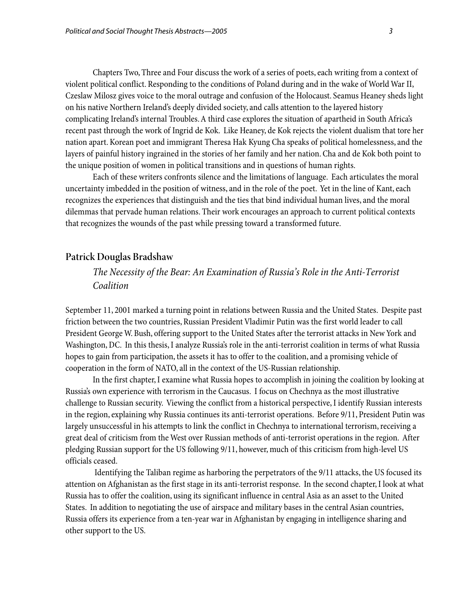Chapters Two, Three and Four discuss the work of a series of poets, each writing from a context of violent political conflict. Responding to the conditions of Poland during and in the wake of World War II, Czeslaw Milosz gives voice to the moral outrage and confusion of the Holocaust. Seamus Heaney sheds light on his native Northern Ireland's deeply divided society, and calls attention to the layered history complicating Ireland's internal Troubles. A third case explores the situation of apartheid in South Africa's recent past through the work of Ingrid de Kok. Like Heaney, de Kok rejects the violent dualism that tore her nation apart. Korean poet and immigrant Theresa Hak Kyung Cha speaks of political homelessness, and the layers of painful history ingrained in the stories of her family and her nation. Cha and de Kok both point to the unique position of women in political transitions and in questions of human rights.

Each of these writers confronts silence and the limitations of language. Each articulates the moral uncertainty imbedded in the position of witness, and in the role of the poet. Yet in the line of Kant, each recognizes the experiences that distinguish and the ties that bind individual human lives, and the moral dilemmas that pervade human relations. Their work encourages an approach to current political contexts that recognizes the wounds of the past while pressing toward a transformed future.

### **Patrick Douglas Bradshaw**

## *The Necessity of the Bear: An Examination of Russia's Role in the Anti-Terrorist Coalition*

September 11, 2001 marked a turning point in relations between Russia and the United States. Despite past friction between the two countries, Russian President Vladimir Putin was the first world leader to call President George W. Bush, offering support to the United States after the terrorist attacks in New York and Washington, DC. In this thesis, I analyze Russia's role in the anti-terrorist coalition in terms of what Russia hopes to gain from participation, the assets it has to offer to the coalition, and a promising vehicle of cooperation in the form of NATO, all in the context of the US-Russian relationship.

In the first chapter, I examine what Russia hopes to accomplish in joining the coalition by looking at Russia's own experience with terrorism in the Caucasus. I focus on Chechnya as the most illustrative challenge to Russian security. Viewing the conflict from a historical perspective, I identify Russian interests in the region, explaining why Russia continues its anti-terrorist operations. Before 9/11, President Putin was largely unsuccessful in his attempts to link the conflict in Chechnya to international terrorism, receiving a great deal of criticism from the West over Russian methods of anti-terrorist operations in the region. After pledging Russian support for the US following 9/11, however, much of this criticism from high-level US officials ceased.

 Identifying the Taliban regime as harboring the perpetrators of the 9/11 attacks, the US focused its attention on Afghanistan as the first stage in its anti-terrorist response. In the second chapter, I look at what Russia has to offer the coalition, using its significant influence in central Asia as an asset to the United States. In addition to negotiating the use of airspace and military bases in the central Asian countries, Russia offers its experience from a ten-year war in Afghanistan by engaging in intelligence sharing and other support to the US.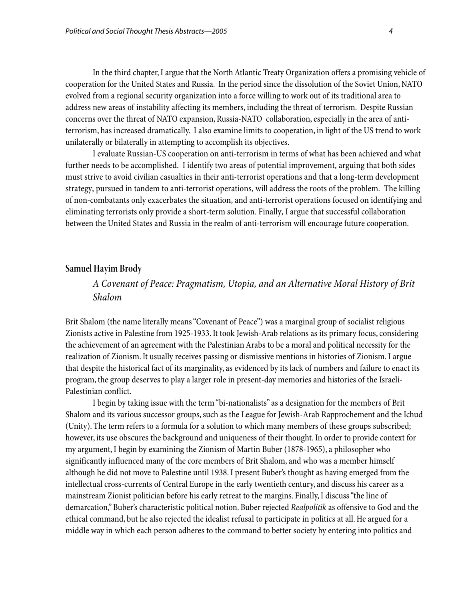In the third chapter, I argue that the North Atlantic Treaty Organization offers a promising vehicle of cooperation for the United States and Russia. In the period since the dissolution of the Soviet Union, NATO evolved from a regional security organization into a force willing to work out of its traditional area to address new areas of instability affecting its members, including the threat of terrorism. Despite Russian concerns over the threat of NATO expansion, Russia-NATO collaboration, especially in the area of antiterrorism, has increased dramatically. I also examine limits to cooperation, in light of the US trend to work unilaterally or bilaterally in attempting to accomplish its objectives.

I evaluate Russian-US cooperation on anti-terrorism in terms of what has been achieved and what further needs to be accomplished. I identify two areas of potential improvement, arguing that both sides must strive to avoid civilian casualties in their anti-terrorist operations and that a long-term development strategy, pursued in tandem to anti-terrorist operations, will address the roots of the problem. The killing of non-combatants only exacerbates the situation, and anti-terrorist operations focused on identifying and eliminating terrorists only provide a short-term solution. Finally, I argue that successful collaboration between the United States and Russia in the realm of anti-terrorism will encourage future cooperation.

### **Samuel Hayim Brody**

## *A Covenant of Peace: Pragmatism, Utopia, and an Alternative Moral History of Brit Shalom*

Brit Shalom (the name literally means "Covenant of Peace") was a marginal group of socialist religious Zionists active in Palestine from 1925-1933. It took Jewish-Arab relations as its primary focus, considering the achievement of an agreement with the Palestinian Arabs to be a moral and political necessity for the realization of Zionism. It usually receives passing or dismissive mentions in histories of Zionism. I argue that despite the historical fact of its marginality, as evidenced by its lack of numbers and failure to enact its program, the group deserves to play a larger role in present-day memories and histories of the Israeli-Palestinian conflict.

 I begin by taking issue with the term "bi-nationalists" as a designation for the members of Brit Shalom and its various successor groups, such as the League for Jewish-Arab Rapprochement and the Ichud (Unity). The term refers to a formula for a solution to which many members of these groups subscribed; however, its use obscures the background and uniqueness of their thought. In order to provide context for my argument, I begin by examining the Zionism of Martin Buber (1878-1965), a philosopher who significantly influenced many of the core members of Brit Shalom, and who was a member himself although he did not move to Palestine until 1938. I present Buber's thought as having emerged from the intellectual cross-currents of Central Europe in the early twentieth century, and discuss his career as a mainstream Zionist politician before his early retreat to the margins. Finally, I discuss "the line of demarcation," Buber's characteristic political notion. Buber rejected *Realpolitik* as offensive to God and the ethical command, but he also rejected the idealist refusal to participate in politics at all. He argued for a middle way in which each person adheres to the command to better society by entering into politics and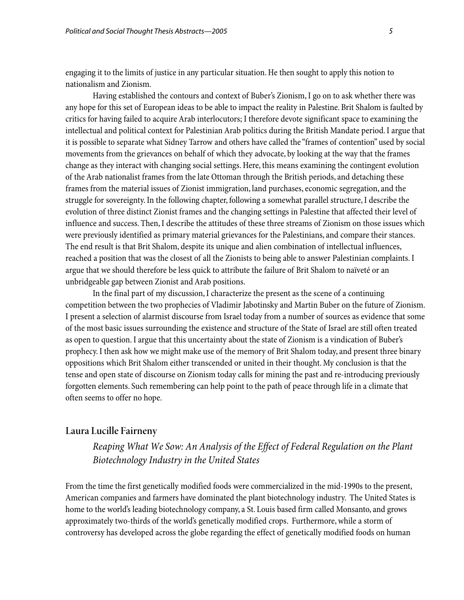engaging it to the limits of justice in any particular situation. He then sought to apply this notion to nationalism and Zionism.

 Having established the contours and context of Buber's Zionism, I go on to ask whether there was any hope for this set of European ideas to be able to impact the reality in Palestine. Brit Shalom is faulted by critics for having failed to acquire Arab interlocutors; I therefore devote significant space to examining the intellectual and political context for Palestinian Arab politics during the British Mandate period. I argue that it is possible to separate what Sidney Tarrow and others have called the "frames of contention" used by social movements from the grievances on behalf of which they advocate, by looking at the way that the frames change as they interact with changing social settings. Here, this means examining the contingent evolution of the Arab nationalist frames from the late Ottoman through the British periods, and detaching these frames from the material issues of Zionist immigration, land purchases, economic segregation, and the struggle for sovereignty. In the following chapter, following a somewhat parallel structure, I describe the evolution of three distinct Zionist frames and the changing settings in Palestine that affected their level of influence and success. Then, I describe the attitudes of these three streams of Zionism on those issues which were previously identified as primary material grievances for the Palestinians, and compare their stances. The end result is that Brit Shalom, despite its unique and alien combination of intellectual influences, reached a position that was the closest of all the Zionists to being able to answer Palestinian complaints. I argue that we should therefore be less quick to attribute the failure of Brit Shalom to naïveté or an unbridgeable gap between Zionist and Arab positions.

 In the final part of my discussion, I characterize the present as the scene of a continuing competition between the two prophecies of Vladimir Jabotinsky and Martin Buber on the future of Zionism. I present a selection of alarmist discourse from Israel today from a number of sources as evidence that some of the most basic issues surrounding the existence and structure of the State of Israel are still often treated as open to question. I argue that this uncertainty about the state of Zionism is a vindication of Buber's prophecy. I then ask how we might make use of the memory of Brit Shalom today, and present three binary oppositions which Brit Shalom either transcended or united in their thought. My conclusion is that the tense and open state of discourse on Zionism today calls for mining the past and re-introducing previously forgotten elements. Such remembering can help point to the path of peace through life in a climate that often seems to offer no hope.

### **Laura Lucille Fairneny**

*Reaping What We Sow: An Analysis of the Effect of Federal Regulation on the Plant Biotechnology Industry in the United States* 

From the time the first genetically modified foods were commercialized in the mid-1990s to the present, American companies and farmers have dominated the plant biotechnology industry. The United States is home to the world's leading biotechnology company, a St. Louis based firm called Monsanto, and grows approximately two-thirds of the world's genetically modified crops. Furthermore, while a storm of controversy has developed across the globe regarding the effect of genetically modified foods on human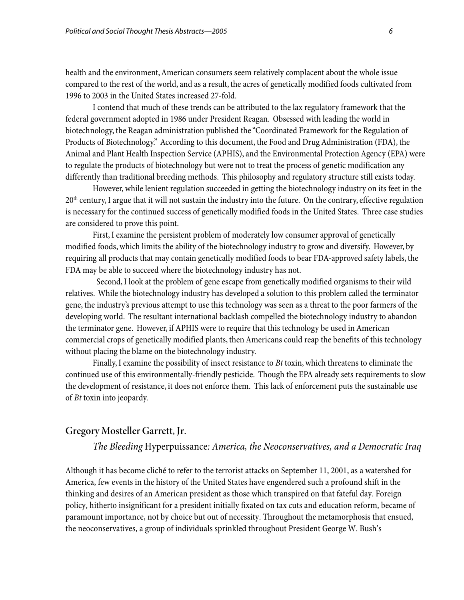health and the environment, American consumers seem relatively complacent about the whole issue compared to the rest of the world, and as a result, the acres of genetically modified foods cultivated from 1996 to 2003 in the United States increased 27-fold.

 I contend that much of these trends can be attributed to the lax regulatory framework that the federal government adopted in 1986 under President Reagan. Obsessed with leading the world in biotechnology, the Reagan administration published the "Coordinated Framework for the Regulation of Products of Biotechnology." According to this document, the Food and Drug Administration (FDA), the Animal and Plant Health Inspection Service (APHIS), and the Environmental Protection Agency (EPA) were to regulate the products of biotechnology but were not to treat the process of genetic modification any differently than traditional breeding methods. This philosophy and regulatory structure still exists today.

 However, while lenient regulation succeeded in getting the biotechnology industry on its feet in the  $20<sup>th</sup>$  century, I argue that it will not sustain the industry into the future. On the contrary, effective regulation is necessary for the continued success of genetically modified foods in the United States. Three case studies are considered to prove this point.

First, I examine the persistent problem of moderately low consumer approval of genetically modified foods, which limits the ability of the biotechnology industry to grow and diversify. However, by requiring all products that may contain genetically modified foods to bear FDA-approved safety labels, the FDA may be able to succeed where the biotechnology industry has not.

 Second, I look at the problem of gene escape from genetically modified organisms to their wild relatives. While the biotechnology industry has developed a solution to this problem called the terminator gene, the industry's previous attempt to use this technology was seen as a threat to the poor farmers of the developing world. The resultant international backlash compelled the biotechnology industry to abandon the terminator gene. However, if APHIS were to require that this technology be used in American commercial crops of genetically modified plants, then Americans could reap the benefits of this technology without placing the blame on the biotechnology industry.

Finally, I examine the possibility of insect resistance to *Bt* toxin, which threatens to eliminate the continued use of this environmentally-friendly pesticide. Though the EPA already sets requirements to slow the development of resistance, it does not enforce them. This lack of enforcement puts the sustainable use of *Bt* toxin into jeopardy.

## **Gregory Mosteller Garrett, Jr.**

## *The Bleeding* Hyperpuissance*: America, the Neoconservatives, and a Democratic Iraq*

Although it has become cliché to refer to the terrorist attacks on September 11, 2001, as a watershed for America, few events in the history of the United States have engendered such a profound shift in the thinking and desires of an American president as those which transpired on that fateful day. Foreign policy, hitherto insignificant for a president initially fixated on tax cuts and education reform, became of paramount importance, not by choice but out of necessity. Throughout the metamorphosis that ensued, the neoconservatives, a group of individuals sprinkled throughout President George W. Bush's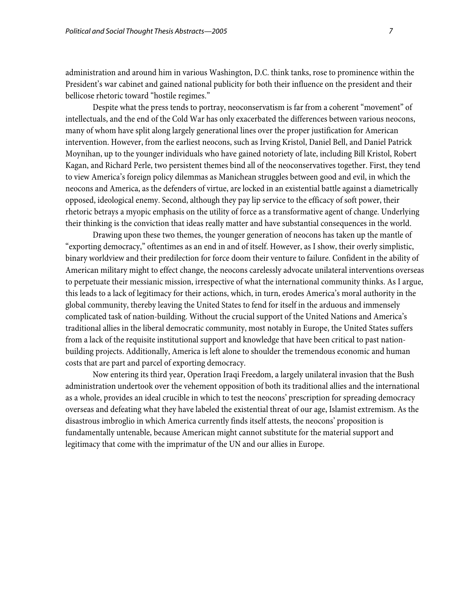administration and around him in various Washington, D.C. think tanks, rose to prominence within the President's war cabinet and gained national publicity for both their influence on the president and their bellicose rhetoric toward "hostile regimes."

 Despite what the press tends to portray, neoconservatism is far from a coherent "movement" of intellectuals, and the end of the Cold War has only exacerbated the differences between various neocons, many of whom have split along largely generational lines over the proper justification for American intervention. However, from the earliest neocons, such as Irving Kristol, Daniel Bell, and Daniel Patrick Moynihan, up to the younger individuals who have gained notoriety of late, including Bill Kristol, Robert Kagan, and Richard Perle, two persistent themes bind all of the neoconservatives together. First, they tend to view America's foreign policy dilemmas as Manichean struggles between good and evil, in which the neocons and America, as the defenders of virtue, are locked in an existential battle against a diametrically opposed, ideological enemy. Second, although they pay lip service to the efficacy of soft power, their rhetoric betrays a myopic emphasis on the utility of force as a transformative agent of change. Underlying their thinking is the conviction that ideas really matter and have substantial consequences in the world.

 Drawing upon these two themes, the younger generation of neocons has taken up the mantle of "exporting democracy," oftentimes as an end in and of itself. However, as I show, their overly simplistic, binary worldview and their predilection for force doom their venture to failure. Confident in the ability of American military might to effect change, the neocons carelessly advocate unilateral interventions overseas to perpetuate their messianic mission, irrespective of what the international community thinks. As I argue, this leads to a lack of legitimacy for their actions, which, in turn, erodes America's moral authority in the global community, thereby leaving the United States to fend for itself in the arduous and immensely complicated task of nation-building. Without the crucial support of the United Nations and America's traditional allies in the liberal democratic community, most notably in Europe, the United States suffers from a lack of the requisite institutional support and knowledge that have been critical to past nationbuilding projects. Additionally, America is left alone to shoulder the tremendous economic and human costs that are part and parcel of exporting democracy.

 Now entering its third year, Operation Iraqi Freedom, a largely unilateral invasion that the Bush administration undertook over the vehement opposition of both its traditional allies and the international as a whole, provides an ideal crucible in which to test the neocons' prescription for spreading democracy overseas and defeating what they have labeled the existential threat of our age, Islamist extremism. As the disastrous imbroglio in which America currently finds itself attests, the neocons' proposition is fundamentally untenable, because American might cannot substitute for the material support and legitimacy that come with the imprimatur of the UN and our allies in Europe.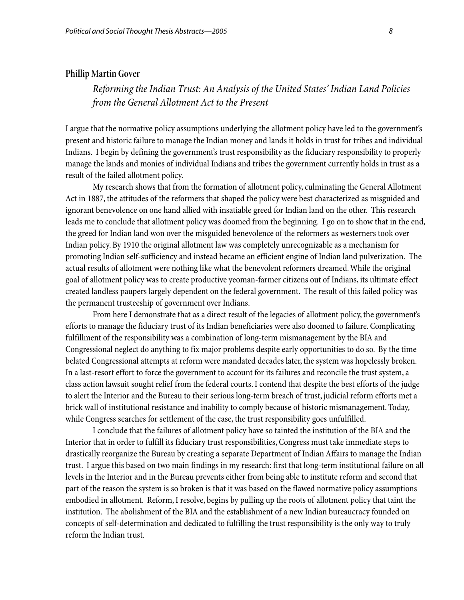#### **Phillip Martin Gover**

*Reforming the Indian Trust: An Analysis of the United States' Indian Land Policies from the General Allotment Act to the Present*

I argue that the normative policy assumptions underlying the allotment policy have led to the government's present and historic failure to manage the Indian money and lands it holds in trust for tribes and individual Indians. I begin by defining the government's trust responsibility as the fiduciary responsibility to properly manage the lands and monies of individual Indians and tribes the government currently holds in trust as a result of the failed allotment policy.

My research shows that from the formation of allotment policy, culminating the General Allotment Act in 1887, the attitudes of the reformers that shaped the policy were best characterized as misguided and ignorant benevolence on one hand allied with insatiable greed for Indian land on the other. This research leads me to conclude that allotment policy was doomed from the beginning. I go on to show that in the end, the greed for Indian land won over the misguided benevolence of the reformers as westerners took over Indian policy. By 1910 the original allotment law was completely unrecognizable as a mechanism for promoting Indian self-sufficiency and instead became an efficient engine of Indian land pulverization. The actual results of allotment were nothing like what the benevolent reformers dreamed. While the original goal of allotment policy was to create productive yeoman-farmer citizens out of Indians, its ultimate effect created landless paupers largely dependent on the federal government. The result of this failed policy was the permanent trusteeship of government over Indians.

 From here I demonstrate that as a direct result of the legacies of allotment policy, the government's efforts to manage the fiduciary trust of its Indian beneficiaries were also doomed to failure. Complicating fulfillment of the responsibility was a combination of long-term mismanagement by the BIA and Congressional neglect do anything to fix major problems despite early opportunities to do so. By the time belated Congressional attempts at reform were mandated decades later, the system was hopelessly broken. In a last-resort effort to force the government to account for its failures and reconcile the trust system, a class action lawsuit sought relief from the federal courts. I contend that despite the best efforts of the judge to alert the Interior and the Bureau to their serious long-term breach of trust, judicial reform efforts met a brick wall of institutional resistance and inability to comply because of historic mismanagement. Today, while Congress searches for settlement of the case, the trust responsibility goes unfulfilled.

I conclude that the failures of allotment policy have so tainted the institution of the BIA and the Interior that in order to fulfill its fiduciary trust responsibilities, Congress must take immediate steps to drastically reorganize the Bureau by creating a separate Department of Indian Affairs to manage the Indian trust. I argue this based on two main findings in my research: first that long-term institutional failure on all levels in the Interior and in the Bureau prevents either from being able to institute reform and second that part of the reason the system is so broken is that it was based on the flawed normative policy assumptions embodied in allotment. Reform, I resolve, begins by pulling up the roots of allotment policy that taint the institution. The abolishment of the BIA and the establishment of a new Indian bureaucracy founded on concepts of self-determination and dedicated to fulfilling the trust responsibility is the only way to truly reform the Indian trust.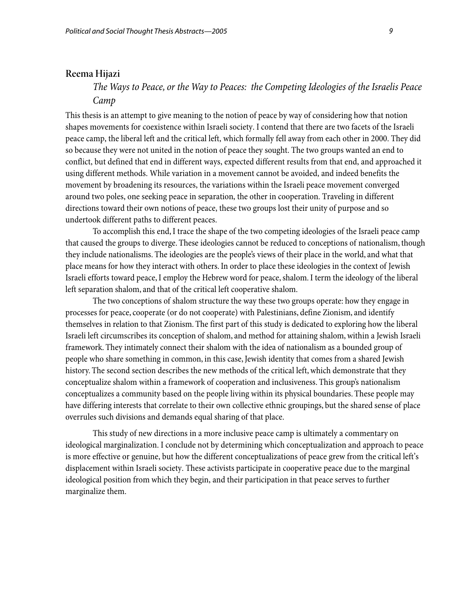#### **Reema Hijazi**

*The Ways to Peace, or the Way to Peaces: the Competing Ideologies of the Israelis Peace Camp* 

This thesis is an attempt to give meaning to the notion of peace by way of considering how that notion shapes movements for coexistence within Israeli society. I contend that there are two facets of the Israeli peace camp, the liberal left and the critical left, which formally fell away from each other in 2000. They did so because they were not united in the notion of peace they sought. The two groups wanted an end to conflict, but defined that end in different ways, expected different results from that end, and approached it using different methods. While variation in a movement cannot be avoided, and indeed benefits the movement by broadening its resources, the variations within the Israeli peace movement converged around two poles, one seeking peace in separation, the other in cooperation. Traveling in different directions toward their own notions of peace, these two groups lost their unity of purpose and so undertook different paths to different peaces.

To accomplish this end, I trace the shape of the two competing ideologies of the Israeli peace camp that caused the groups to diverge. These ideologies cannot be reduced to conceptions of nationalism, though they include nationalisms. The ideologies are the people's views of their place in the world, and what that place means for how they interact with others. In order to place these ideologies in the context of Jewish Israeli efforts toward peace, I employ the Hebrew word for peace, shalom. I term the ideology of the liberal left separation shalom, and that of the critical left cooperative shalom.

The two conceptions of shalom structure the way these two groups operate: how they engage in processes for peace, cooperate (or do not cooperate) with Palestinians, define Zionism, and identify themselves in relation to that Zionism. The first part of this study is dedicated to exploring how the liberal Israeli left circumscribes its conception of shalom, and method for attaining shalom, within a Jewish Israeli framework. They intimately connect their shalom with the idea of nationalism as a bounded group of people who share something in common, in this case, Jewish identity that comes from a shared Jewish history. The second section describes the new methods of the critical left, which demonstrate that they conceptualize shalom within a framework of cooperation and inclusiveness. This group's nationalism conceptualizes a community based on the people living within its physical boundaries. These people may have differing interests that correlate to their own collective ethnic groupings, but the shared sense of place overrules such divisions and demands equal sharing of that place.

This study of new directions in a more inclusive peace camp is ultimately a commentary on ideological marginalization. I conclude not by determining which conceptualization and approach to peace is more effective or genuine, but how the different conceptualizations of peace grew from the critical left's displacement within Israeli society. These activists participate in cooperative peace due to the marginal ideological position from which they begin, and their participation in that peace serves to further marginalize them.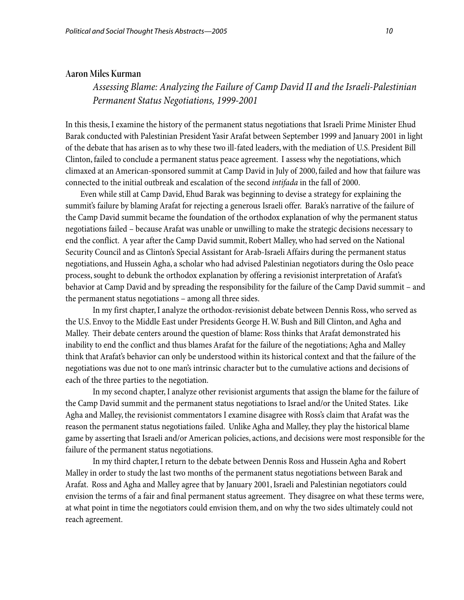#### **Aaron Miles Kurman**

*Assessing Blame: Analyzing the Failure of Camp David II and the Israeli-Palestinian Permanent Status Negotiations, 1999-2001* 

In this thesis, I examine the history of the permanent status negotiations that Israeli Prime Minister Ehud Barak conducted with Palestinian President Yasir Arafat between September 1999 and January 2001 in light of the debate that has arisen as to why these two ill-fated leaders, with the mediation of U.S. President Bill Clinton, failed to conclude a permanent status peace agreement. I assess why the negotiations, which climaxed at an American-sponsored summit at Camp David in July of 2000, failed and how that failure was connected to the initial outbreak and escalation of the second *intifada* in the fall of 2000.

 Even while still at Camp David, Ehud Barak was beginning to devise a strategy for explaining the summit's failure by blaming Arafat for rejecting a generous Israeli offer. Barak's narrative of the failure of the Camp David summit became the foundation of the orthodox explanation of why the permanent status negotiations failed – because Arafat was unable or unwilling to make the strategic decisions necessary to end the conflict. A year after the Camp David summit, Robert Malley, who had served on the National Security Council and as Clinton's Special Assistant for Arab-Israeli Affairs during the permanent status negotiations, and Hussein Agha, a scholar who had advised Palestinian negotiators during the Oslo peace process, sought to debunk the orthodox explanation by offering a revisionist interpretation of Arafat's behavior at Camp David and by spreading the responsibility for the failure of the Camp David summit – and the permanent status negotiations – among all three sides.

 In my first chapter, I analyze the orthodox-revisionist debate between Dennis Ross, who served as the U.S. Envoy to the Middle East under Presidents George H. W. Bush and Bill Clinton, and Agha and Malley. Their debate centers around the question of blame: Ross thinks that Arafat demonstrated his inability to end the conflict and thus blames Arafat for the failure of the negotiations; Agha and Malley think that Arafat's behavior can only be understood within its historical context and that the failure of the negotiations was due not to one man's intrinsic character but to the cumulative actions and decisions of each of the three parties to the negotiation.

 In my second chapter, I analyze other revisionist arguments that assign the blame for the failure of the Camp David summit and the permanent status negotiations to Israel and/or the United States. Like Agha and Malley, the revisionist commentators I examine disagree with Ross's claim that Arafat was the reason the permanent status negotiations failed. Unlike Agha and Malley, they play the historical blame game by asserting that Israeli and/or American policies, actions, and decisions were most responsible for the failure of the permanent status negotiations.

In my third chapter, I return to the debate between Dennis Ross and Hussein Agha and Robert Malley in order to study the last two months of the permanent status negotiations between Barak and Arafat. Ross and Agha and Malley agree that by January 2001, Israeli and Palestinian negotiators could envision the terms of a fair and final permanent status agreement. They disagree on what these terms were, at what point in time the negotiators could envision them, and on why the two sides ultimately could not reach agreement.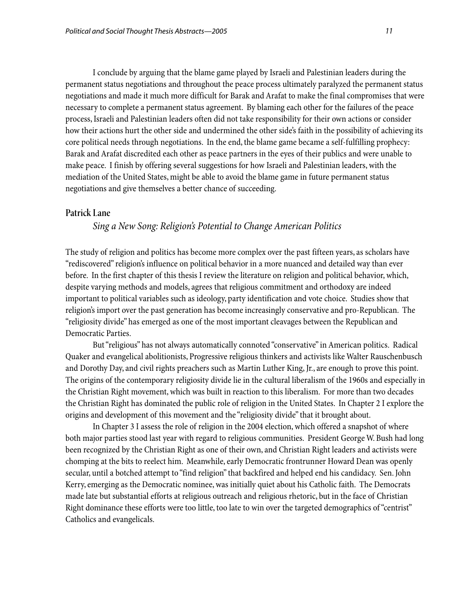I conclude by arguing that the blame game played by Israeli and Palestinian leaders during the permanent status negotiations and throughout the peace process ultimately paralyzed the permanent status negotiations and made it much more difficult for Barak and Arafat to make the final compromises that were necessary to complete a permanent status agreement. By blaming each other for the failures of the peace process, Israeli and Palestinian leaders often did not take responsibility for their own actions or consider how their actions hurt the other side and undermined the other side's faith in the possibility of achieving its core political needs through negotiations. In the end, the blame game became a self-fulfilling prophecy: Barak and Arafat discredited each other as peace partners in the eyes of their publics and were unable to make peace. I finish by offering several suggestions for how Israeli and Palestinian leaders, with the mediation of the United States, might be able to avoid the blame game in future permanent status negotiations and give themselves a better chance of succeeding.

## **Patrick Lane**

## *Sing a New Song: Religion's Potential to Change American Politics*

The study of religion and politics has become more complex over the past fifteen years, as scholars have "rediscovered" religion's influence on political behavior in a more nuanced and detailed way than ever before. In the first chapter of this thesis I review the literature on religion and political behavior, which, despite varying methods and models, agrees that religious commitment and orthodoxy are indeed important to political variables such as ideology, party identification and vote choice. Studies show that religion's import over the past generation has become increasingly conservative and pro-Republican. The "religiosity divide" has emerged as one of the most important cleavages between the Republican and Democratic Parties.

But "religious" has not always automatically connoted "conservative" in American politics. Radical Quaker and evangelical abolitionists, Progressive religious thinkers and activists like Walter Rauschenbusch and Dorothy Day, and civil rights preachers such as Martin Luther King, Jr., are enough to prove this point. The origins of the contemporary religiosity divide lie in the cultural liberalism of the 1960s and especially in the Christian Right movement, which was built in reaction to this liberalism. For more than two decades the Christian Right has dominated the public role of religion in the United States. In Chapter 2 I explore the origins and development of this movement and the "religiosity divide" that it brought about.

In Chapter 3 I assess the role of religion in the 2004 election, which offered a snapshot of where both major parties stood last year with regard to religious communities. President George W. Bush had long been recognized by the Christian Right as one of their own, and Christian Right leaders and activists were chomping at the bits to reelect him. Meanwhile, early Democratic frontrunner Howard Dean was openly secular, until a botched attempt to "find religion" that backfired and helped end his candidacy. Sen. John Kerry, emerging as the Democratic nominee, was initially quiet about his Catholic faith. The Democrats made late but substantial efforts at religious outreach and religious rhetoric, but in the face of Christian Right dominance these efforts were too little, too late to win over the targeted demographics of "centrist" Catholics and evangelicals.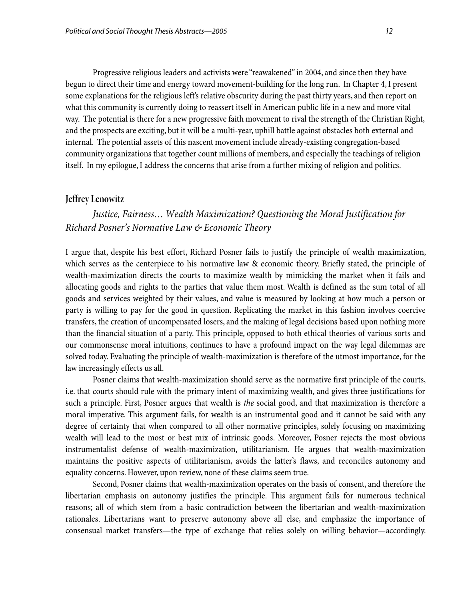Progressive religious leaders and activists were "reawakened" in 2004, and since then they have begun to direct their time and energy toward movement-building for the long run. In Chapter 4, I present some explanations for the religious left's relative obscurity during the past thirty years, and then report on what this community is currently doing to reassert itself in American public life in a new and more vital way. The potential is there for a new progressive faith movement to rival the strength of the Christian Right, and the prospects are exciting, but it will be a multi-year, uphill battle against obstacles both external and internal. The potential assets of this nascent movement include already-existing congregation-based community organizations that together count millions of members, and especially the teachings of religion itself. In my epilogue, I address the concerns that arise from a further mixing of religion and politics.

#### **Jeffrey Lenowitz**

## *Justice, Fairness… Wealth Maximization? Questioning the Moral Justification for Richard Posner's Normative Law & Economic Theory*

I argue that, despite his best effort, Richard Posner fails to justify the principle of wealth maximization, which serves as the centerpiece to his normative law & economic theory. Briefly stated, the principle of wealth-maximization directs the courts to maximize wealth by mimicking the market when it fails and allocating goods and rights to the parties that value them most. Wealth is defined as the sum total of all goods and services weighted by their values, and value is measured by looking at how much a person or party is willing to pay for the good in question. Replicating the market in this fashion involves coercive transfers, the creation of uncompensated losers, and the making of legal decisions based upon nothing more than the financial situation of a party. This principle, opposed to both ethical theories of various sorts and our commonsense moral intuitions, continues to have a profound impact on the way legal dilemmas are solved today. Evaluating the principle of wealth-maximization is therefore of the utmost importance, for the law increasingly effects us all.

Posner claims that wealth-maximization should serve as the normative first principle of the courts, i.e. that courts should rule with the primary intent of maximizing wealth, and gives three justifications for such a principle. First, Posner argues that wealth is *the* social good, and that maximization is therefore a moral imperative. This argument fails, for wealth is an instrumental good and it cannot be said with any degree of certainty that when compared to all other normative principles, solely focusing on maximizing wealth will lead to the most or best mix of intrinsic goods. Moreover, Posner rejects the most obvious instrumentalist defense of wealth-maximization, utilitarianism. He argues that wealth-maximization maintains the positive aspects of utilitarianism, avoids the latter's flaws, and reconciles autonomy and equality concerns. However, upon review, none of these claims seem true.

Second, Posner claims that wealth-maximization operates on the basis of consent, and therefore the libertarian emphasis on autonomy justifies the principle. This argument fails for numerous technical reasons; all of which stem from a basic contradiction between the libertarian and wealth-maximization rationales. Libertarians want to preserve autonomy above all else, and emphasize the importance of consensual market transfers—the type of exchange that relies solely on willing behavior—accordingly.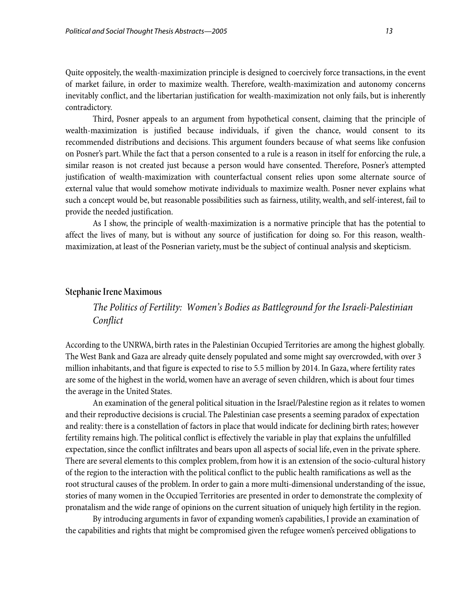Quite oppositely, the wealth-maximization principle is designed to coercively force transactions, in the event of market failure, in order to maximize wealth. Therefore, wealth-maximization and autonomy concerns inevitably conflict, and the libertarian justification for wealth-maximization not only fails, but is inherently contradictory.

Third, Posner appeals to an argument from hypothetical consent, claiming that the principle of wealth-maximization is justified because individuals, if given the chance, would consent to its recommended distributions and decisions. This argument founders because of what seems like confusion on Posner's part. While the fact that a person consented to a rule is a reason in itself for enforcing the rule, a similar reason is not created just because a person would have consented. Therefore, Posner's attempted justification of wealth-maximization with counterfactual consent relies upon some alternate source of external value that would somehow motivate individuals to maximize wealth. Posner never explains what such a concept would be, but reasonable possibilities such as fairness, utility, wealth, and self-interest, fail to provide the needed justification.

As I show, the principle of wealth-maximization is a normative principle that has the potential to affect the lives of many, but is without any source of justification for doing so. For this reason, wealthmaximization, at least of the Posnerian variety, must be the subject of continual analysis and skepticism.

#### **Stephanie Irene Maximous**

*The Politics of Fertility: Women's Bodies as Battleground for the Israeli-Palestinian Conflict* 

According to the UNRWA, birth rates in the Palestinian Occupied Territories are among the highest globally. The West Bank and Gaza are already quite densely populated and some might say overcrowded, with over 3 million inhabitants, and that figure is expected to rise to 5.5 million by 2014. In Gaza, where fertility rates are some of the highest in the world, women have an average of seven children, which is about four times the average in the United States.

 An examination of the general political situation in the Israel/Palestine region as it relates to women and their reproductive decisions is crucial. The Palestinian case presents a seeming paradox of expectation and reality: there is a constellation of factors in place that would indicate for declining birth rates; however fertility remains high. The political conflict is effectively the variable in play that explains the unfulfilled expectation, since the conflict infiltrates and bears upon all aspects of social life, even in the private sphere. There are several elements to this complex problem, from how it is an extension of the socio-cultural history of the region to the interaction with the political conflict to the public health ramifications as well as the root structural causes of the problem. In order to gain a more multi-dimensional understanding of the issue, stories of many women in the Occupied Territories are presented in order to demonstrate the complexity of pronatalism and the wide range of opinions on the current situation of uniquely high fertility in the region.

By introducing arguments in favor of expanding women's capabilities, I provide an examination of the capabilities and rights that might be compromised given the refugee women's perceived obligations to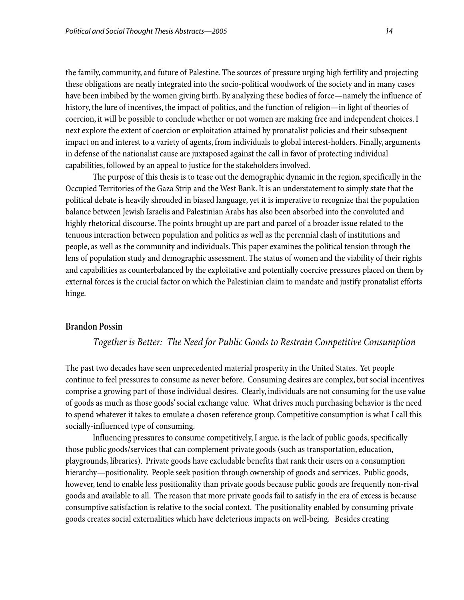the family, community, and future of Palestine. The sources of pressure urging high fertility and projecting these obligations are neatly integrated into the socio-political woodwork of the society and in many cases have been imbibed by the women giving birth. By analyzing these bodies of force—namely the influence of history, the lure of incentives, the impact of politics, and the function of religion—in light of theories of coercion, it will be possible to conclude whether or not women are making free and independent choices. I next explore the extent of coercion or exploitation attained by pronatalist policies and their subsequent impact on and interest to a variety of agents, from individuals to global interest-holders. Finally, arguments in defense of the nationalist cause are juxtaposed against the call in favor of protecting individual capabilities, followed by an appeal to justice for the stakeholders involved.

The purpose of this thesis is to tease out the demographic dynamic in the region, specifically in the Occupied Territories of the Gaza Strip and the West Bank. It is an understatement to simply state that the political debate is heavily shrouded in biased language, yet it is imperative to recognize that the population balance between Jewish Israelis and Palestinian Arabs has also been absorbed into the convoluted and highly rhetorical discourse. The points brought up are part and parcel of a broader issue related to the tenuous interaction between population and politics as well as the perennial clash of institutions and people, as well as the community and individuals. This paper examines the political tension through the lens of population study and demographic assessment. The status of women and the viability of their rights and capabilities as counterbalanced by the exploitative and potentially coercive pressures placed on them by external forces is the crucial factor on which the Palestinian claim to mandate and justify pronatalist efforts hinge.

## **Brandon Possin**

## *Together is Better: The Need for Public Goods to Restrain Competitive Consumption*

The past two decades have seen unprecedented material prosperity in the United States. Yet people continue to feel pressures to consume as never before. Consuming desires are complex, but social incentives comprise a growing part of those individual desires. Clearly, individuals are not consuming for the use value of goods as much as those goods' social exchange value. What drives much purchasing behavior is the need to spend whatever it takes to emulate a chosen reference group. Competitive consumption is what I call this socially-influenced type of consuming.

Influencing pressures to consume competitively, I argue, is the lack of public goods, specifically those public goods/services that can complement private goods (such as transportation, education, playgrounds, libraries). Private goods have excludable benefits that rank their users on a consumption hierarchy—positionality. People seek position through ownership of goods and services. Public goods, however, tend to enable less positionality than private goods because public goods are frequently non-rival goods and available to all. The reason that more private goods fail to satisfy in the era of excess is because consumptive satisfaction is relative to the social context. The positionality enabled by consuming private goods creates social externalities which have deleterious impacts on well-being. Besides creating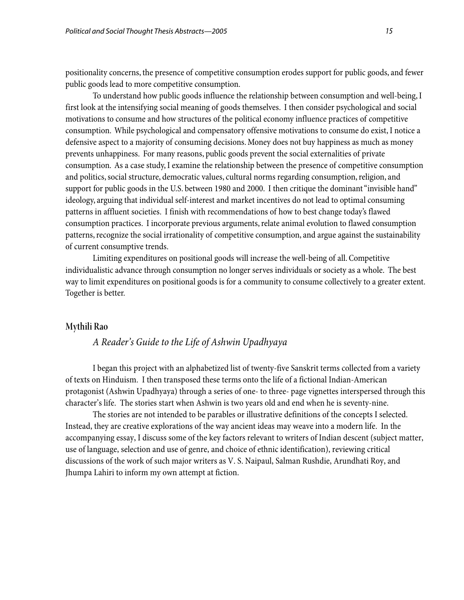positionality concerns, the presence of competitive consumption erodes support for public goods, and fewer public goods lead to more competitive consumption.

To understand how public goods influence the relationship between consumption and well-being, I first look at the intensifying social meaning of goods themselves. I then consider psychological and social motivations to consume and how structures of the political economy influence practices of competitive consumption. While psychological and compensatory offensive motivations to consume do exist, I notice a defensive aspect to a majority of consuming decisions. Money does not buy happiness as much as money prevents unhappiness. For many reasons, public goods prevent the social externalities of private consumption. As a case study, I examine the relationship between the presence of competitive consumption and politics, social structure, democratic values, cultural norms regarding consumption, religion, and support for public goods in the U.S. between 1980 and 2000. I then critique the dominant "invisible hand" ideology, arguing that individual self-interest and market incentives do not lead to optimal consuming patterns in affluent societies. I finish with recommendations of how to best change today's flawed consumption practices. I incorporate previous arguments, relate animal evolution to flawed consumption patterns, recognize the social irrationality of competitive consumption, and argue against the sustainability of current consumptive trends.

Limiting expenditures on positional goods will increase the well-being of all. Competitive individualistic advance through consumption no longer serves individuals or society as a whole. The best way to limit expenditures on positional goods is for a community to consume collectively to a greater extent. Together is better.

### **Mythili Rao**

## *A Reader's Guide to the Life of Ashwin Upadhyaya*

I began this project with an alphabetized list of twenty-five Sanskrit terms collected from a variety of texts on Hinduism. I then transposed these terms onto the life of a fictional Indian-American protagonist (Ashwin Upadhyaya) through a series of one- to three- page vignettes interspersed through this character's life. The stories start when Ashwin is two years old and end when he is seventy-nine.

The stories are not intended to be parables or illustrative definitions of the concepts I selected. Instead, they are creative explorations of the way ancient ideas may weave into a modern life. In the accompanying essay, I discuss some of the key factors relevant to writers of Indian descent (subject matter, use of language, selection and use of genre, and choice of ethnic identification), reviewing critical discussions of the work of such major writers as V. S. Naipaul, Salman Rushdie, Arundhati Roy, and Jhumpa Lahiri to inform my own attempt at fiction.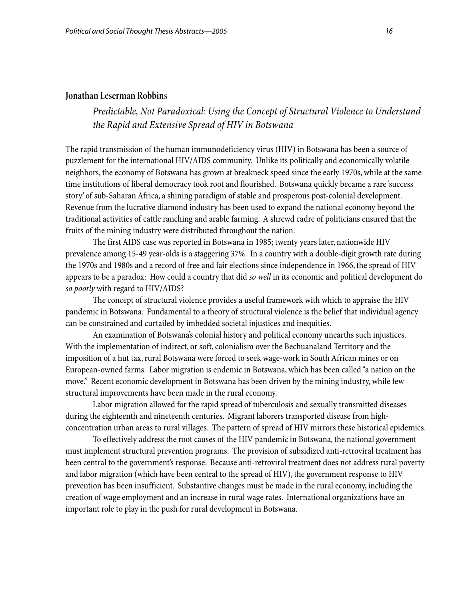#### **Jonathan Leserman Robbins**

## *Predictable, Not Paradoxical: Using the Concept of Structural Violence to Understand the Rapid and Extensive Spread of HIV in Botswana*

The rapid transmission of the human immunodeficiency virus (HIV) in Botswana has been a source of puzzlement for the international HIV/AIDS community. Unlike its politically and economically volatile neighbors, the economy of Botswana has grown at breakneck speed since the early 1970s, while at the same time institutions of liberal democracy took root and flourished. Botswana quickly became a rare 'success story' of sub-Saharan Africa, a shining paradigm of stable and prosperous post-colonial development. Revenue from the lucrative diamond industry has been used to expand the national economy beyond the traditional activities of cattle ranching and arable farming. A shrewd cadre of politicians ensured that the fruits of the mining industry were distributed throughout the nation.

 The first AIDS case was reported in Botswana in 1985; twenty years later, nationwide HIV prevalence among 15-49 year-olds is a staggering 37%. In a country with a double-digit growth rate during the 1970s and 1980s and a record of free and fair elections since independence in 1966, the spread of HIV appears to be a paradox: How could a country that did *so well* in its economic and political development do *so poorly* with regard to HIV/AIDS?

 The concept of structural violence provides a useful framework with which to appraise the HIV pandemic in Botswana. Fundamental to a theory of structural violence is the belief that individual agency can be constrained and curtailed by imbedded societal injustices and inequities.

An examination of Botswana's colonial history and political economy unearths such injustices. With the implementation of indirect, or soft, colonialism over the Bechuanaland Territory and the imposition of a hut tax, rural Botswana were forced to seek wage-work in South African mines or on European-owned farms. Labor migration is endemic in Botswana, which has been called "a nation on the move." Recent economic development in Botswana has been driven by the mining industry, while few structural improvements have been made in the rural economy.

 Labor migration allowed for the rapid spread of tuberculosis and sexually transmitted diseases during the eighteenth and nineteenth centuries. Migrant laborers transported disease from highconcentration urban areas to rural villages. The pattern of spread of HIV mirrors these historical epidemics.

To effectively address the root causes of the HIV pandemic in Botswana, the national government must implement structural prevention programs. The provision of subsidized anti-retroviral treatment has been central to the government's response. Because anti-retroviral treatment does not address rural poverty and labor migration (which have been central to the spread of HIV), the government response to HIV prevention has been insufficient. Substantive changes must be made in the rural economy, including the creation of wage employment and an increase in rural wage rates. International organizations have an important role to play in the push for rural development in Botswana.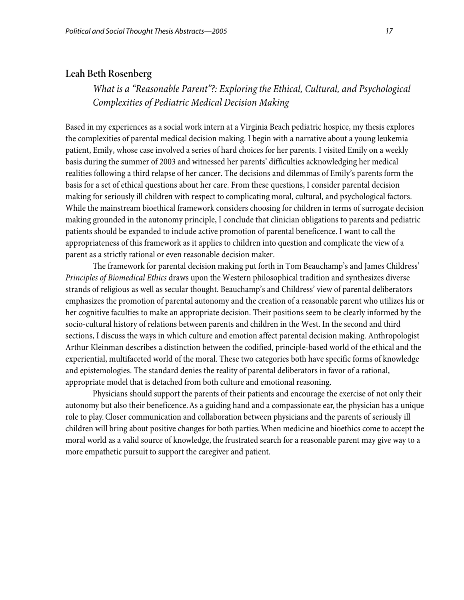### **Leah Beth Rosenberg**

*What is a "Reasonable Parent"?: Exploring the Ethical, Cultural, and Psychological Complexities of Pediatric Medical Decision Making* 

Based in my experiences as a social work intern at a Virginia Beach pediatric hospice, my thesis explores the complexities of parental medical decision making. I begin with a narrative about a young leukemia patient, Emily, whose case involved a series of hard choices for her parents. I visited Emily on a weekly basis during the summer of 2003 and witnessed her parents' difficulties acknowledging her medical realities following a third relapse of her cancer. The decisions and dilemmas of Emily's parents form the basis for a set of ethical questions about her care. From these questions, I consider parental decision making for seriously ill children with respect to complicating moral, cultural, and psychological factors. While the mainstream bioethical framework considers choosing for children in terms of surrogate decision making grounded in the autonomy principle, I conclude that clinician obligations to parents and pediatric patients should be expanded to include active promotion of parental beneficence. I want to call the appropriateness of this framework as it applies to children into question and complicate the view of a parent as a strictly rational or even reasonable decision maker.

The framework for parental decision making put forth in Tom Beauchamp's and James Childress' *Principles of Biomedical Ethics* draws upon the Western philosophical tradition and synthesizes diverse strands of religious as well as secular thought. Beauchamp's and Childress' view of parental deliberators emphasizes the promotion of parental autonomy and the creation of a reasonable parent who utilizes his or her cognitive faculties to make an appropriate decision. Their positions seem to be clearly informed by the socio-cultural history of relations between parents and children in the West. In the second and third sections, I discuss the ways in which culture and emotion affect parental decision making. Anthropologist Arthur Kleinman describes a distinction between the codified, principle-based world of the ethical and the experiential, multifaceted world of the moral. These two categories both have specific forms of knowledge and epistemologies. The standard denies the reality of parental deliberators in favor of a rational, appropriate model that is detached from both culture and emotional reasoning.

Physicians should support the parents of their patients and encourage the exercise of not only their autonomy but also their beneficence. As a guiding hand and a compassionate ear, the physician has a unique role to play. Closer communication and collaboration between physicians and the parents of seriously ill children will bring about positive changes for both parties. When medicine and bioethics come to accept the moral world as a valid source of knowledge, the frustrated search for a reasonable parent may give way to a more empathetic pursuit to support the caregiver and patient.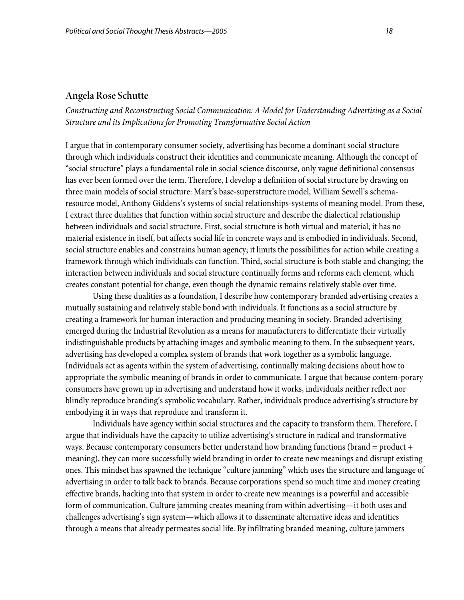#### **Angela Rose Schutte**

*Constructing and Reconstructing Social Communication: A Model for Understanding Advertising as a Social Structure and its Implications for Promoting Transformative Social Action* 

I argue that in contemporary consumer society, advertising has become a dominant social structure through which individuals construct their identities and communicate meaning. Although the concept of "social structure" plays a fundamental role in social science discourse, only vague definitional consensus has ever been formed over the term. Therefore, I develop a definition of social structure by drawing on three main models of social structure: Marx's base-superstructure model, William Sewell's schemaresource model, Anthony Giddens's systems of social relationships-systems of meaning model. From these, I extract three dualities that function within social structure and describe the dialectical relationship between individuals and social structure. First, social structure is both virtual and material; it has no material existence in itself, but affects social life in concrete ways and is embodied in individuals. Second, social structure enables and constrains human agency; it limits the possibilities for action while creating a framework through which individuals can function. Third, social structure is both stable and changing; the interaction between individuals and social structure continually forms and reforms each element, which creates constant potential for change, even though the dynamic remains relatively stable over time.

 Using these dualities as a foundation, I describe how contemporary branded advertising creates a mutually sustaining and relatively stable bond with individuals. It functions as a social structure by creating a framework for human interaction and producing meaning in society. Branded advertising emerged during the Industrial Revolution as a means for manufacturers to differentiate their virtually indistinguishable products by attaching images and symbolic meaning to them. In the subsequent years, advertising has developed a complex system of brands that work together as a symbolic language. Individuals act as agents within the system of advertising, continually making decisions about how to appropriate the symbolic meaning of brands in order to communicate. I argue that because contem-porary consumers have grown up in advertising and understand how it works, individuals neither reflect nor blindly reproduce branding's symbolic vocabulary. Rather, individuals produce advertising's structure by embodying it in ways that reproduce and transform it.

Individuals have agency within social structures and the capacity to transform them. Therefore, I argue that individuals have the capacity to utilize advertising's structure in radical and transformative ways. Because contemporary consumers better understand how branding functions (brand = product + meaning), they can more successfully wield branding in order to create new meanings and disrupt existing ones. This mindset has spawned the technique "culture jamming" which uses the structure and language of advertising in order to talk back to brands. Because corporations spend so much time and money creating effective brands, hacking into that system in order to create new meanings is a powerful and accessible form of communication. Culture jamming creates meaning from within advertising—it both uses and challenges advertising's sign system—which allows it to disseminate alternative ideas and identities through a means that already permeates social life. By infiltrating branded meaning, culture jammers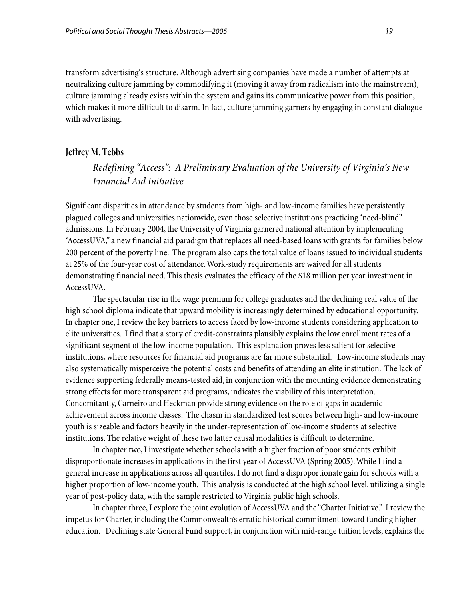transform advertising's structure. Although advertising companies have made a number of attempts at neutralizing culture jamming by commodifying it (moving it away from radicalism into the mainstream), culture jamming already exists within the system and gains its communicative power from this position, which makes it more difficult to disarm. In fact, culture jamming garners by engaging in constant dialogue with advertising.

#### **Jeffrey M. Tebbs**

## *Redefining "Access": A Preliminary Evaluation of the University of Virginia's New Financial Aid Initiative*

Significant disparities in attendance by students from high- and low-income families have persistently plagued colleges and universities nationwide, even those selective institutions practicing "need-blind" admissions. In February 2004, the University of Virginia garnered national attention by implementing "AccessUVA," a new financial aid paradigm that replaces all need-based loans with grants for families below 200 percent of the poverty line. The program also caps the total value of loans issued to individual students at 25% of the four-year cost of attendance. Work-study requirements are waived for all students demonstrating financial need. This thesis evaluates the efficacy of the \$18 million per year investment in AccessUVA.

The spectacular rise in the wage premium for college graduates and the declining real value of the high school diploma indicate that upward mobility is increasingly determined by educational opportunity. In chapter one, I review the key barriers to access faced by low-income students considering application to elite universities. I find that a story of credit-constraints plausibly explains the low enrollment rates of a significant segment of the low-income population. This explanation proves less salient for selective institutions, where resources for financial aid programs are far more substantial. Low-income students may also systematically misperceive the potential costs and benefits of attending an elite institution. The lack of evidence supporting federally means-tested aid, in conjunction with the mounting evidence demonstrating strong effects for more transparent aid programs, indicates the viability of this interpretation. Concomitantly, Carneiro and Heckman provide strong evidence on the role of gaps in academic achievement across income classes. The chasm in standardized test scores between high- and low-income youth is sizeable and factors heavily in the under-representation of low-income students at selective institutions. The relative weight of these two latter causal modalities is difficult to determine.

In chapter two, I investigate whether schools with a higher fraction of poor students exhibit disproportionate increases in applications in the first year of AccessUVA (Spring 2005). While I find a general increase in applications across all quartiles, I do not find a disproportionate gain for schools with a higher proportion of low-income youth. This analysis is conducted at the high school level, utilizing a single year of post-policy data, with the sample restricted to Virginia public high schools.

In chapter three, I explore the joint evolution of AccessUVA and the "Charter Initiative." I review the impetus for Charter, including the Commonwealth's erratic historical commitment toward funding higher education. Declining state General Fund support, in conjunction with mid-range tuition levels, explains the